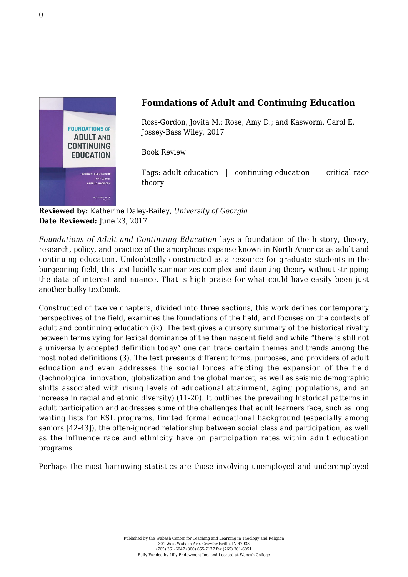

## **Foundations of Adult and Continuing Education**

Ross-Gordon, Jovita M.; Rose, Amy D.; and Kasworm, Carol E. [Jossey-Bass Wiley, 2017](http://www.wiley.com/WileyCDA/WileyTitle/productCd-1118955099.html)

Book Review

Tags: adult education | continuing education | critical race theory

**Reviewed by:** Katherine Daley-Bailey, *University of Georgia* **Date Reviewed:** June 23, 2017

*Foundations of Adult and Continuing Education* lays a foundation of the history, theory, research, policy, and practice of the amorphous expanse known in North America as adult and continuing education. Undoubtedly constructed as a resource for graduate students in the burgeoning field, this text lucidly summarizes complex and daunting theory without stripping the data of interest and nuance. That is high praise for what could have easily been just another bulky textbook.

Constructed of twelve chapters, divided into three sections, this work defines contemporary perspectives of the field, examines the foundations of the field, and focuses on the contexts of adult and continuing education (ix). The text gives a cursory summary of the historical rivalry between terms vying for lexical dominance of the then nascent field and while "there is still not a universally accepted definition today" one can trace certain themes and trends among the most noted definitions (3). The text presents different forms, purposes, and providers of adult education and even addresses the social forces affecting the expansion of the field (technological innovation, globalization and the global market, as well as seismic demographic shifts associated with rising levels of educational attainment, aging populations, and an increase in racial and ethnic diversity) (11-20). It outlines the prevailing historical patterns in adult participation and addresses some of the challenges that adult learners face, such as long waiting lists for ESL programs, limited formal educational background (especially among seniors [42-43]), the often-ignored relationship between social class and participation, as well as the influence race and ethnicity have on participation rates within adult education programs.

Perhaps the most harrowing statistics are those involving unemployed and underemployed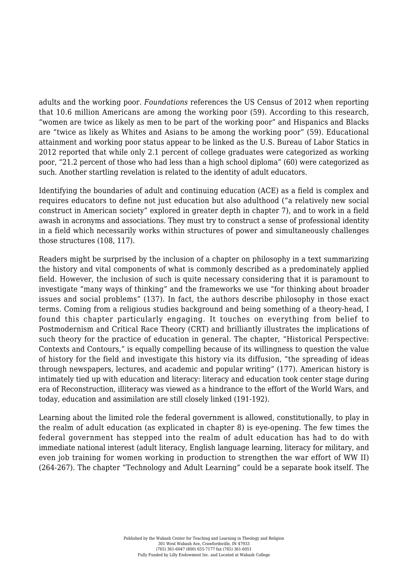adults and the working poor. *Foundations* references the US Census of 2012 when reporting that 10.6 million Americans are among the working poor (59). According to this research, "women are twice as likely as men to be part of the working poor" and Hispanics and Blacks are "twice as likely as Whites and Asians to be among the working poor" (59). Educational attainment and working poor status appear to be linked as the U.S. Bureau of Labor Statics in 2012 reported that while only 2.1 percent of college graduates were categorized as working poor, "21.2 percent of those who had less than a high school diploma" (60) were categorized as such. Another startling revelation is related to the identity of adult educators.

Identifying the boundaries of adult and continuing education (ACE) as a field is complex and requires educators to define not just education but also adulthood ("a relatively new social construct in American society" explored in greater depth in chapter 7), and to work in a field awash in acronyms and associations. They must try to construct a sense of professional identity in a field which necessarily works within structures of power and simultaneously challenges those structures (108, 117).

Readers might be surprised by the inclusion of a chapter on philosophy in a text summarizing the history and vital components of what is commonly described as a predominately applied field. However, the inclusion of such is quite necessary considering that it is paramount to investigate "many ways of thinking" and the frameworks we use "for thinking about broader issues and social problems" (137). In fact, the authors describe philosophy in those exact terms. Coming from a religious studies background and being something of a theory-head, I found this chapter particularly engaging. It touches on everything from belief to Postmodernism and Critical Race Theory (CRT) and brilliantly illustrates the implications of such theory for the practice of education in general. The chapter, "Historical Perspective: Contexts and Contours," is equally compelling because of its willingness to question the value of history for the field and investigate this history via its diffusion, "the spreading of ideas through newspapers, lectures, and academic and popular writing" (177). American history is intimately tied up with education and literacy: literacy and education took center stage during era of Reconstruction, illiteracy was viewed as a hindrance to the effort of the World Wars, and today, education and assimilation are still closely linked (191-192).

Learning about the limited role the federal government is allowed, constitutionally, to play in the realm of adult education (as explicated in chapter 8) is eye-opening. The few times the federal government has stepped into the realm of adult education has had to do with immediate national interest (adult literacy, English language learning, literacy for military, and even job training for women working in production to strengthen the war effort of WW II) (264-267). The chapter "Technology and Adult Learning" could be a separate book itself. The